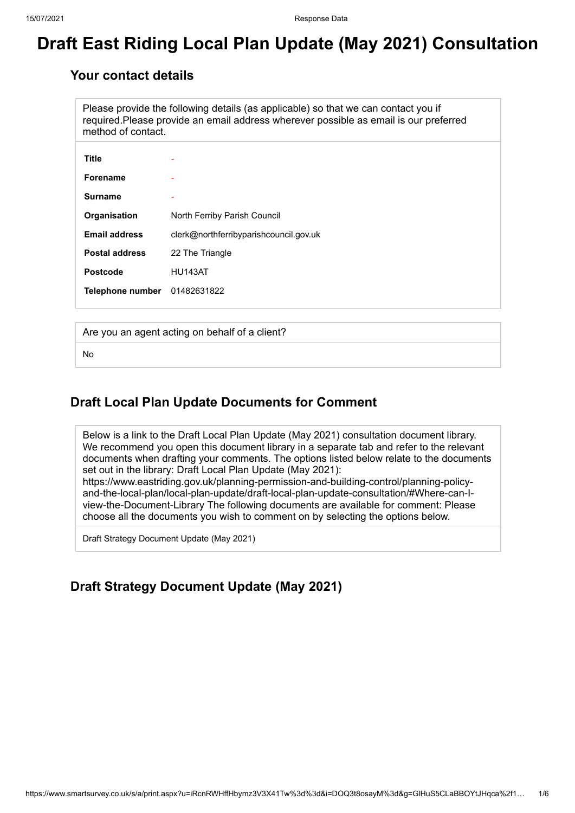# **Draft East Riding Local Plan Update (May 2021) Consultation**

# **Your contact details**

Please provide the following details (as applicable) so that we can contact you if required.Please provide an email address wherever possible as email is our preferred method of contact.

| Title                 | ۰                                      |
|-----------------------|----------------------------------------|
| <b>Forename</b>       | ۰                                      |
| <b>Surname</b>        |                                        |
| Organisation          | North Ferriby Parish Council           |
| <b>Email address</b>  | clerk@northferribyparishcouncil.gov.uk |
| <b>Postal address</b> | 22 The Triangle                        |
| <b>Postcode</b>       | <b>HU143AT</b>                         |
| Telephone number      | 01482631822                            |

Are you an agent acting on behalf of a client?

No

### **Draft Local Plan Update Documents for Comment**

Below is a link to the Draft Local Plan Update (May 2021) consultation document library. We recommend you open this document library in a separate tab and refer to the relevant documents when drafting your comments. The options listed below relate to the documents set out in the library: Draft Local Plan Update (May 2021):

https://www.eastriding.gov.uk/planning-permission-and-building-control/planning-policyand-the-local-plan/local-plan-update/draft-local-plan-update-consultation/#Where-can-Iview-the-Document-Library The following documents are available for comment: Please choose all the documents you wish to comment on by selecting the options below.

Draft Strategy Document Update (May 2021)

# **Draft Strategy Document Update (May 2021)**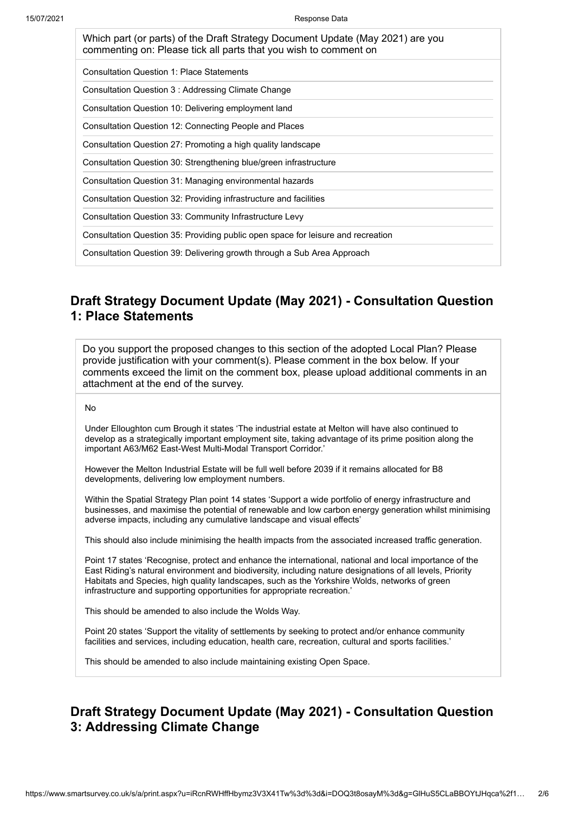| Which part (or parts) of the Draft Strategy Document Update (May 2021) are you<br>commenting on: Please tick all parts that you wish to comment on |
|----------------------------------------------------------------------------------------------------------------------------------------------------|
| <b>Consultation Question 1: Place Statements</b>                                                                                                   |
| Consultation Question 3 : Addressing Climate Change                                                                                                |
| Consultation Question 10: Delivering employment land                                                                                               |
| Consultation Question 12: Connecting People and Places                                                                                             |
| Consultation Question 27: Promoting a high quality landscape                                                                                       |
| Consultation Question 30: Strengthening blue/green infrastructure                                                                                  |
| Consultation Question 31: Managing environmental hazards                                                                                           |
| Consultation Question 32: Providing infrastructure and facilities                                                                                  |
| Consultation Question 33: Community Infrastructure Levy                                                                                            |
| Consultation Question 35: Providing public open space for leisure and recreation                                                                   |
| Consultation Question 39: Delivering growth through a Sub Area Approach                                                                            |

# **Draft Strategy Document Update (May 2021) - Consultation Question 1: Place Statements**

Do you support the proposed changes to this section of the adopted Local Plan? Please provide justification with your comment(s). Please comment in the box below. If your comments exceed the limit on the comment box, please upload additional comments in an attachment at the end of the survey.

No

Under Elloughton cum Brough it states 'The industrial estate at Melton will have also continued to develop as a strategically important employment site, taking advantage of its prime position along the important A63/M62 East-West Multi-Modal Transport Corridor.'

However the Melton Industrial Estate will be full well before 2039 if it remains allocated for B8 developments, delivering low employment numbers.

Within the Spatial Strategy Plan point 14 states 'Support a wide portfolio of energy infrastructure and businesses, and maximise the potential of renewable and low carbon energy generation whilst minimising adverse impacts, including any cumulative landscape and visual effects'

This should also include minimising the health impacts from the associated increased traffic generation.

Point 17 states 'Recognise, protect and enhance the international, national and local importance of the East Riding's natural environment and biodiversity, including nature designations of all levels, Priority Habitats and Species, high quality landscapes, such as the Yorkshire Wolds, networks of green infrastructure and supporting opportunities for appropriate recreation.'

This should be amended to also include the Wolds Way.

Point 20 states 'Support the vitality of settlements by seeking to protect and/or enhance community facilities and services, including education, health care, recreation, cultural and sports facilities.'

This should be amended to also include maintaining existing Open Space.

# **Draft Strategy Document Update (May 2021) - Consultation Question 3: Addressing Climate Change**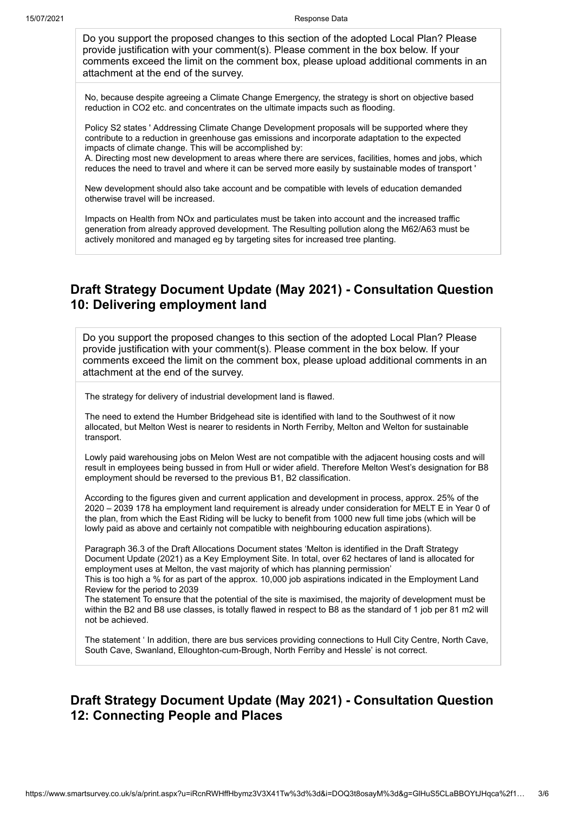Do you support the proposed changes to this section of the adopted Local Plan? Please provide justification with your comment(s). Please comment in the box below. If your comments exceed the limit on the comment box, please upload additional comments in an attachment at the end of the survey.

No, because despite agreeing a Climate Change Emergency, the strategy is short on objective based reduction in CO2 etc. and concentrates on the ultimate impacts such as flooding.

Policy S2 states ' Addressing Climate Change Development proposals will be supported where they contribute to a reduction in greenhouse gas emissions and incorporate adaptation to the expected impacts of climate change. This will be accomplished by:

A. Directing most new development to areas where there are services, facilities, homes and jobs, which reduces the need to travel and where it can be served more easily by sustainable modes of transport '

New development should also take account and be compatible with levels of education demanded otherwise travel will be increased.

Impacts on Health from NOx and particulates must be taken into account and the increased traffic generation from already approved development. The Resulting pollution along the M62/A63 must be actively monitored and managed eg by targeting sites for increased tree planting.

# **Draft Strategy Document Update (May 2021) - Consultation Question 10: Delivering employment land**

Do you support the proposed changes to this section of the adopted Local Plan? Please provide justification with your comment(s). Please comment in the box below. If your comments exceed the limit on the comment box, please upload additional comments in an attachment at the end of the survey.

The strategy for delivery of industrial development land is flawed.

The need to extend the Humber Bridgehead site is identified with land to the Southwest of it now allocated, but Melton West is nearer to residents in North Ferriby, Melton and Welton for sustainable transport.

Lowly paid warehousing jobs on Melon West are not compatible with the adjacent housing costs and will result in employees being bussed in from Hull or wider afield. Therefore Melton West's designation for B8 employment should be reversed to the previous B1, B2 classification.

According to the figures given and current application and development in process, approx. 25% of the 2020 – 2039 178 ha employment land requirement is already under consideration for MELT E in Year 0 of the plan, from which the East Riding will be lucky to benefit from 1000 new full time jobs (which will be lowly paid as above and certainly not compatible with neighbouring education aspirations).

Paragraph 36.3 of the Draft Allocations Document states 'Melton is identified in the Draft Strategy Document Update (2021) as a Key Employment Site. In total, over 62 hectares of land is allocated for employment uses at Melton, the vast majority of which has planning permission'

This is too high a % for as part of the approx. 10,000 job aspirations indicated in the Employment Land Review for the period to 2039

The statement To ensure that the potential of the site is maximised, the majority of development must be within the B2 and B8 use classes, is totally flawed in respect to B8 as the standard of 1 job per 81 m2 will not be achieved.

The statement ' In addition, there are bus services providing connections to Hull City Centre, North Cave, South Cave, Swanland, Elloughton-cum-Brough, North Ferriby and Hessle' is not correct.

# **Draft Strategy Document Update (May 2021) - Consultation Question 12: Connecting People and Places**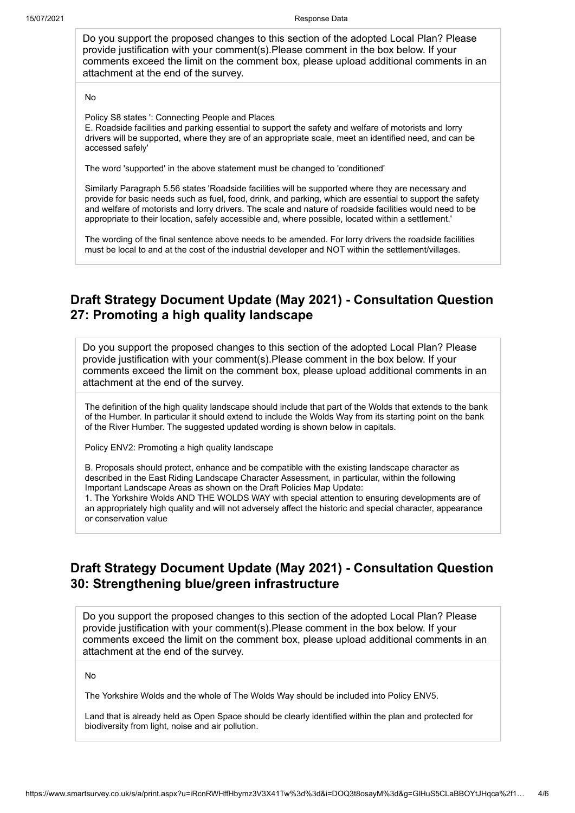Do you support the proposed changes to this section of the adopted Local Plan? Please provide justification with your comment(s).Please comment in the box below. If your comments exceed the limit on the comment box, please upload additional comments in an attachment at the end of the survey.

#### No

Policy S8 states ': Connecting People and Places E. Roadside facilities and parking essential to support the safety and welfare of motorists and lorry drivers will be supported, where they are of an appropriate scale, meet an identified need, and can be accessed safely'

The word 'supported' in the above statement must be changed to 'conditioned'

Similarly Paragraph 5.56 states 'Roadside facilities will be supported where they are necessary and provide for basic needs such as fuel, food, drink, and parking, which are essential to support the safety and welfare of motorists and lorry drivers. The scale and nature of roadside facilities would need to be appropriate to their location, safely accessible and, where possible, located within a settlement.'

The wording of the final sentence above needs to be amended. For lorry drivers the roadside facilities must be local to and at the cost of the industrial developer and NOT within the settlement/villages.

# **Draft Strategy Document Update (May 2021) - Consultation Question 27: Promoting a high quality landscape**

Do you support the proposed changes to this section of the adopted Local Plan? Please provide justification with your comment(s).Please comment in the box below. If your comments exceed the limit on the comment box, please upload additional comments in an attachment at the end of the survey.

The definition of the high quality landscape should include that part of the Wolds that extends to the bank of the Humber. In particular it should extend to include the Wolds Way from its starting point on the bank of the River Humber. The suggested updated wording is shown below in capitals.

Policy ENV2: Promoting a high quality landscape

B. Proposals should protect, enhance and be compatible with the existing landscape character as described in the East Riding Landscape Character Assessment, in particular, within the following Important Landscape Areas as shown on the Draft Policies Map Update:

1. The Yorkshire Wolds AND THE WOLDS WAY with special attention to ensuring developments are of an appropriately high quality and will not adversely affect the historic and special character, appearance or conservation value

# **Draft Strategy Document Update (May 2021) - Consultation Question 30: Strengthening blue/green infrastructure**

Do you support the proposed changes to this section of the adopted Local Plan? Please provide justification with your comment(s).Please comment in the box below. If your comments exceed the limit on the comment box, please upload additional comments in an attachment at the end of the survey.

No

The Yorkshire Wolds and the whole of The Wolds Way should be included into Policy ENV5.

Land that is already held as Open Space should be clearly identified within the plan and protected for biodiversity from light, noise and air pollution.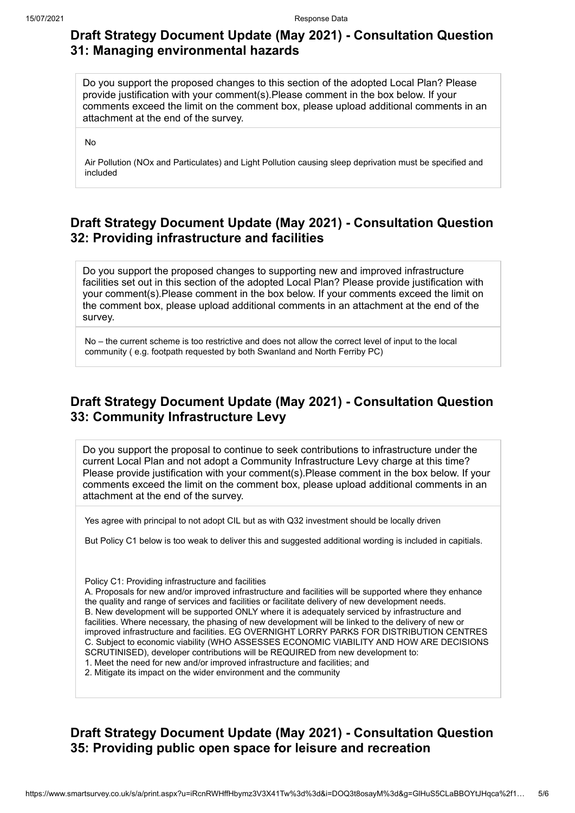# **Draft Strategy Document Update (May 2021) - Consultation Question 31: Managing environmental hazards**

Do you support the proposed changes to this section of the adopted Local Plan? Please provide justification with your comment(s).Please comment in the box below. If your comments exceed the limit on the comment box, please upload additional comments in an attachment at the end of the survey.

No

Air Pollution (NOx and Particulates) and Light Pollution causing sleep deprivation must be specified and included

# **Draft Strategy Document Update (May 2021) - Consultation Question 32: Providing infrastructure and facilities**

Do you support the proposed changes to supporting new and improved infrastructure facilities set out in this section of the adopted Local Plan? Please provide justification with your comment(s).Please comment in the box below. If your comments exceed the limit on the comment box, please upload additional comments in an attachment at the end of the survey.

No – the current scheme is too restrictive and does not allow the correct level of input to the local community ( e.g. footpath requested by both Swanland and North Ferriby PC)

# **Draft Strategy Document Update (May 2021) - Consultation Question 33: Community Infrastructure Levy**

Do you support the proposal to continue to seek contributions to infrastructure under the current Local Plan and not adopt a Community Infrastructure Levy charge at this time? Please provide justification with your comment(s).Please comment in the box below. If your comments exceed the limit on the comment box, please upload additional comments in an attachment at the end of the survey.

Yes agree with principal to not adopt CIL but as with Q32 investment should be locally driven

But Policy C1 below is too weak to deliver this and suggested additional wording is included in capitials.

Policy C1: Providing infrastructure and facilities A. Proposals for new and/or improved infrastructure and facilities will be supported where they enhance the quality and range of services and facilities or facilitate delivery of new development needs. B. New development will be supported ONLY where it is adequately serviced by infrastructure and facilities. Where necessary, the phasing of new development will be linked to the delivery of new or improved infrastructure and facilities. EG OVERNIGHT LORRY PARKS FOR DISTRIBUTION CENTRES C. Subject to economic viability (WHO ASSESSES ECONOMIC VIABILITY AND HOW ARE DECISIONS SCRUTINISED), developer contributions will be REQUIRED from new development to: 1. Meet the need for new and/or improved infrastructure and facilities; and

2. Mitigate its impact on the wider environment and the community

# **Draft Strategy Document Update (May 2021) - Consultation Question 35: Providing public open space for leisure and recreation**